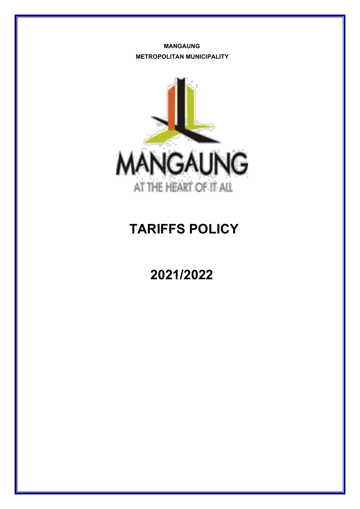**MANGAUNG METROPOLITAN MUNICIPALITY**



# **TARIFFS POLICY**

# **2021/2022**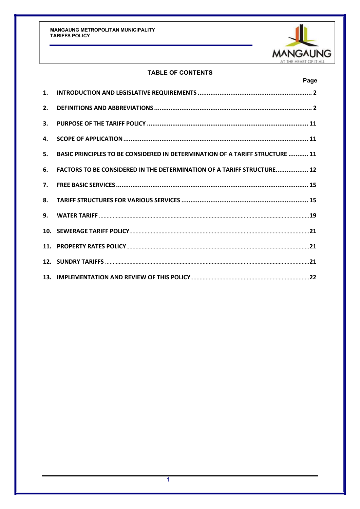

# **TABLE OF CONTENTS**

|    | Page                                                                         |  |
|----|------------------------------------------------------------------------------|--|
| 1. |                                                                              |  |
| 2. |                                                                              |  |
| 3. |                                                                              |  |
| 4. |                                                                              |  |
| 5. | BASIC PRINCIPLES TO BE CONSIDERED IN DETERMINATION OF A TARIFF STRUCTURE  11 |  |
| 6. | FACTORS TO BE CONSIDERED IN THE DETERMINATION OF A TARIFF STRUCTURE 12       |  |
| 7. |                                                                              |  |
| 8. |                                                                              |  |
|    |                                                                              |  |
|    |                                                                              |  |
|    |                                                                              |  |
|    |                                                                              |  |
|    |                                                                              |  |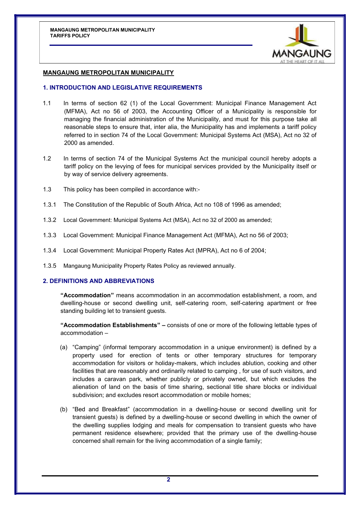

## <span id="page-2-0"></span>**MANGAUNG METROPOLITAN MUNICIPALITY**

#### **1. INTRODUCTION AND LEGISLATIVE REQUIREMENTS**

- 1.1 In terms of section 62 (1) of the Local Government: Municipal Finance Management Act (MFMA), Act no 56 of 2003, the Accounting Officer of a Municipality is responsible for managing the financial administration of the Municipality, and must for this purpose take all reasonable steps to ensure that, inter alia, the Municipality has and implements a tariff policy referred to in section 74 of the Local Government: Municipal Systems Act (MSA), Act no 32 of 2000 as amended.
- 1.2 In terms of section 74 of the Municipal Systems Act the municipal council hereby adopts a tariff policy on the levying of fees for municipal services provided by the Municipality itself or by way of service delivery agreements.
- 1.3 This policy has been compiled in accordance with:-
- 1.3.1 The Constitution of the Republic of South Africa, Act no 108 of 1996 as amended;
- 1.3.2 Local Government: Municipal Systems Act (MSA), Act no 32 of 2000 as amended;
- 1.3.3 Local Government: Municipal Finance Management Act (MFMA), Act no 56 of 2003;
- 1.3.4 Local Government: Municipal Property Rates Act (MPRA), Act no 6 of 2004;
- 1.3.5 Mangaung Municipality Property Rates Policy as reviewed annually.

#### **2. DEFINITIONS AND ABBREVIATIONS**

**"Accommodation"** means accommodation in an accommodation establishment, a room, and dwelling-house or second dwelling unit, self-catering room, self-catering apartment or free standing building let to transient guests.

**"Accommodation Establishments" –** consists of one or more of the following lettable types of accommodation –

- (a) "Camping" (informal temporary accommodation in a unique environment) is defined by a property used for erection of tents or other temporary structures for temporary accommodation for visitors or holiday-makers, which includes ablution, cooking and other facilities that are reasonably and ordinarily related to camping , for use of such visitors, and includes a caravan park, whether publicly or privately owned, but which excludes the alienation of land on the basis of time sharing, sectional title share blocks or individual subdivision; and excludes resort accommodation or mobile homes;
- (b) "Bed and Breakfast" (accommodation in a dwelling-house or second dwelling unit for transient guests) is defined by a dwelling-house or second dwelling in which the owner of the dwelling supplies lodging and meals for compensation to transient guests who have permanent residence elsewhere; provided that the primary use of the dwelling-house concerned shall remain for the living accommodation of a single family;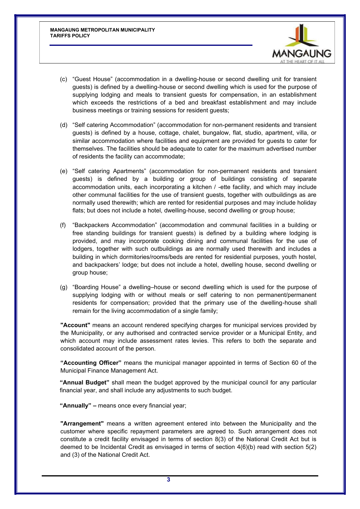

- (c) "Guest House" (accommodation in a dwelling-house or second dwelling unit for transient guests) is defined by a dwelling-house or second dwelling which is used for the purpose of supplying lodging and meals to transient guests for compensation, in an establishment which exceeds the restrictions of a bed and breakfast establishment and may include business meetings or training sessions for resident guests;
- (d) "Self catering Accommodation" (accommodation for non-permanent residents and transient guests) is defined by a house, cottage, chalet, bungalow, flat, studio, apartment, villa, or similar accommodation where facilities and equipment are provided for guests to cater for themselves. The facilities should be adequate to cater for the maximum advertised number of residents the facility can accommodate;
- (e) "Self catering Apartments" (accommodation for non-permanent residents and transient guests) is defined by a building or group of buildings consisting of separate accommodation units, each incorporating a kitchen / -ette facility, and which may include other communal facilities for the use of transient guests, together with outbuildings as are normally used therewith; which are rented for residential purposes and may include holiday flats; but does not include a hotel, dwelling-house, second dwelling or group house;
- (f) "Backpackers Accommodation" (accommodation and communal facilities in a building or free standing buildings for transient guests) is defined by a building where lodging is provided, and may incorporate cooking dining and communal facilities for the use of lodgers, together with such outbuildings as are normally used therewith and includes a building in which dormitories/rooms/beds are rented for residential purposes, youth hostel, and backpackers' lodge; but does not include a hotel, dwelling house, second dwelling or group house;
- (g) "Boarding House" a dwelling–house or second dwelling which is used for the purpose of supplying lodging with or without meals or self catering to non permanent/permanent residents for compensation; provided that the primary use of the dwelling-house shall remain for the living accommodation of a single family;

**"Account"** means an account rendered specifying charges for municipal services provided by the Municipality, or any authorised and contracted service provider or a Municipal Entity, and which account may include assessment rates levies. This refers to both the separate and consolidated account of the person.

**"Accounting Officer"** means the municipal manager appointed in terms of Section 60 of the Municipal Finance Management Act.

**"Annual Budget"** shall mean the budget approved by the municipal council for any particular financial year, and shall include any adjustments to such budget.

**"Annually" –** means once every financial year;

**"Arrangement"** means a written agreement entered into between the Municipality and the customer where specific repayment parameters are agreed to. Such arrangement does not constitute a credit facility envisaged in terms of section 8(3) of the National Credit Act but is deemed to be Incidental Credit as envisaged in terms of section 4(6)(b) read with section 5(2) and (3) of the National Credit Act.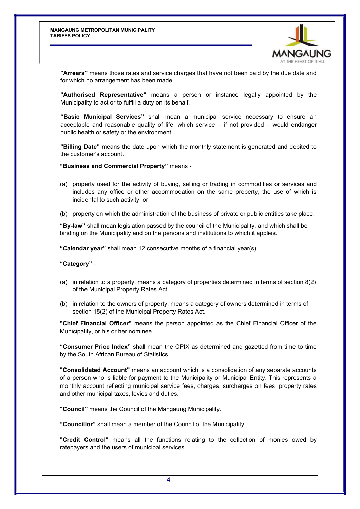

**"Arrears"** means those rates and service charges that have not been paid by the due date and for which no arrangement has been made.

**"Authorised Representative"** means a person or instance legally appointed by the Municipality to act or to fulfill a duty on its behalf.

**"Basic Municipal Services"** shall mean a municipal service necessary to ensure an acceptable and reasonable quality of life, which service – if not provided – would endanger public health or safety or the environment.

**"Billing Date"** means the date upon which the monthly statement is generated and debited to the customer's account.

**"Business and Commercial Property"** means -

- (a) property used for the activity of buying, selling or trading in commodities or services and includes any office or other accommodation on the same property, the use of which is incidental to such activity; or
- (b) property on which the administration of the business of private or public entities take place.

**"By-law"** shall mean legislation passed by the council of the Municipality, and which shall be binding on the Municipality and on the persons and institutions to which it applies.

**"Calendar year"** shall mean 12 consecutive months of a financial year(s).

**"Category"** –

- (a) in relation to a property, means a category of properties determined in terms of section 8(2) of the Municipal Property Rates Act;
- (b) in relation to the owners of property, means a category of owners determined in terms of section 15(2) of the Municipal Property Rates Act.

**"Chief Financial Officer"** means the person appointed as the Chief Financial Officer of the Municipality, or his or her nominee.

**"Consumer Price Index"** shall mean the CPIX as determined and gazetted from time to time by the South African Bureau of Statistics.

**"Consolidated Account"** means an account which is a consolidation of any separate accounts of a person who is liable for payment to the Municipality or Municipal Entity. This represents a monthly account reflecting municipal service fees, charges, surcharges on fees, property rates and other municipal taxes, levies and duties.

**"Council"** means the Council of the Mangaung Municipality.

**"Councillor"** shall mean a member of the Council of the Municipality.

**"Credit Control"** means all the functions relating to the collection of monies owed by ratepayers and the users of municipal services.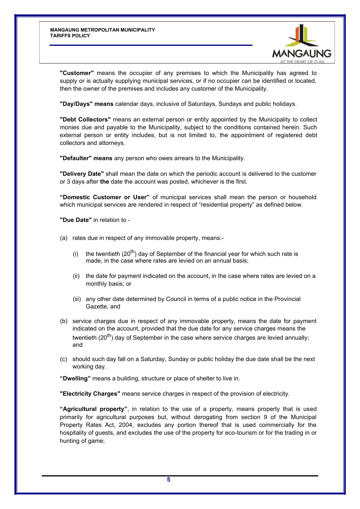

**"Customer"** means the occupier of any premises to which the Municipality has agreed to supply or is actually supplying municipal services, or if no occupier can be identified or located, then the owner of the premises and includes any customer of the Municipality.

**"Day/Days" means** calendar days, inclusive of Saturdays, Sundays and public holidays.

**"Debt Collectors"** means an external person or entity appointed by the Municipality to collect monies due and payable to the Municipality, subject to the conditions contained herein. Such external person or entity includes, but is not limited to, the appointment of registered debt collectors and attorneys.

**"Defaulter" means** any person who owes arrears to the Municipality.

**"Delivery Date"** shall mean the date on which the periodic account is delivered to the customer or 3 days after **the** date the account was posted, whichever is the first.

**"Domestic Customer or User"** of municipal services shall mean the person or household which municipal services are rendered in respect of "residential property" as defined below.

**"Due Date"** in relation to -

- (a) rates due in respect of any immovable property, means:-
	- (i) the twentieth  $(20^{th})$  day of September of the financial year for which such rate is made, in the case where rates are levied on an annual basis;
	- (ii) the date for payment indicated on the account, in the case where rates are levied on a monthly basis; or
	- (iii) any other date determined by Council in terms of a public notice in the Provincial Gazette, and
- (b) service charges due in respect of any immovable property, means the date for payment indicated on the account, provided that the due date for any service charges means the twentieth (20<sup>th</sup>) day of September in the case where service charges are levied annually; and
- (c) should such day fall on a Saturday, Sunday or public holiday the due date shall be the next working day.

**"Dwelling"** means a building, structure or place of shelter to live in.

**"Electricity Charges"** means service charges in respect of the provision of electricity.

**"Agricultural property"**, in relation to the use of a property, means property that is used primarily for agricultural purposes but, without derogating from section 9 of the Municipal Property Rates Act, 2004, excludes any portion thereof that is used commercially for the hospitality of guests, and excludes the use of the property for eco-tourism or for the trading in or hunting of game;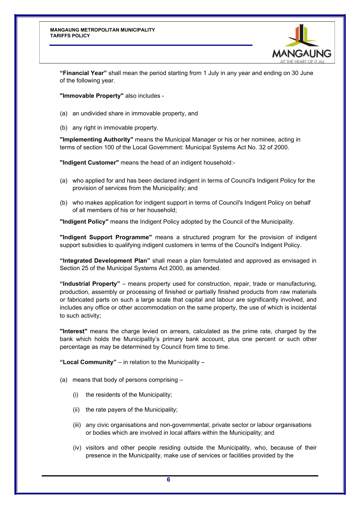

**"Financial Year"** shall mean the period starting from 1 July in any year and ending on 30 June of the following year.

**"Immovable Property"** also includes -

- (a) an undivided share in immovable property, and
- (b) any right in immovable property.

**"Implementing Authority"** means the Municipal Manager or his or her nominee, acting in terms of section 100 of the Local Government: Municipal Systems Act No. 32 of 2000.

**"Indigent Customer"** means the head of an indigent household:-

- (a) who applied for and has been declared indigent in terms of Council's Indigent Policy for the provision of services from the Municipality; and
- (b) who makes application for indigent support in terms of Council's Indigent Policy on behalf of all members of his or her household;

**"Indigent Policy"** means the Indigent Policy adopted by the Council of the Municipality.

**"Indigent Support Programme"** means a structured program for the provision of indigent support subsidies to qualifying indigent customers in terms of the Council's Indigent Policy.

**"Integrated Development Plan"** shall mean a plan formulated and approved as envisaged in Section 25 of the Municipal Systems Act 2000, as amended.

**"Industrial Property"** – means property used for construction, repair, trade or manufacturing, production, assembly or processing of finished or partially finished products from raw materials or fabricated parts on such a large scale that capital and labour are significantly involved, and includes any office or other accommodation on the same property, the use of which is incidental to such activity;

**"Interest"** means the charge levied on arrears, calculated as the prime rate, charged by the bank which holds the Municipality's primary bank account, plus one percent or such other percentage as may be determined by Council from time to time.

**"Local Community"** – in relation to the Municipality –

- (a) means that body of persons comprising
	- (i) the residents of the Municipality;
	- (ii) the rate payers of the Municipality;
	- (iii) any civic organisations and non-governmental, private sector or labour organisations or bodies which are involved in local affairs within the Municipality; and
	- (iv) visitors and other people residing outside the Municipality, who, because of their presence in the Municipality, make use of services or facilities provided by the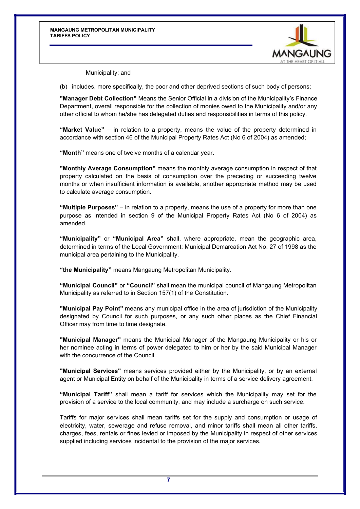

Municipality; and

(b) includes, more specifically, the poor and other deprived sections of such body of persons;

**"Manager Debt Collection"** Means the Senior Official in a division of the Municipality's Finance Department, overall responsible for the collection of monies owed to the Municipality and/or any other official to whom he/she has delegated duties and responsibilities in terms of this policy.

**"Market Value"** – in relation to a property, means the value of the property determined in accordance with section 46 of the Municipal Property Rates Act (No 6 of 2004) as amended;

**"Month"** means one of twelve months of a calendar year.

**"Monthly Average Consumption"** means the monthly average consumption in respect of that property calculated on the basis of consumption over the preceding or succeeding twelve months or when insufficient information is available, another appropriate method may be used to calculate average consumption.

**"Multiple Purposes"** – in relation to a property, means the use of a property for more than one purpose as intended in section 9 of the Municipal Property Rates Act (No 6 of 2004) as amended.

**"Municipality"** or **"Municipal Area"** shall, where appropriate, mean the geographic area, determined in terms of the Local Government: Municipal Demarcation Act No. 27 of 1998 as the municipal area pertaining to the Municipality.

**"the Municipality"** means Mangaung Metropolitan Municipality.

**"Municipal Council"** or **"Council"** shall mean the municipal council of Mangaung Metropolitan Municipality as referred to in Section 157(1) of the Constitution.

**"Municipal Pay Point"** means any municipal office in the area of jurisdiction of the Municipality designated by Council for such purposes, or any such other places as the Chief Financial Officer may from time to time designate.

**"Municipal Manager"** means the Municipal Manager of the Mangaung Municipality or his or her nominee acting in terms of power delegated to him or her by the said Municipal Manager with the concurrence of the Council.

**"Municipal Services"** means services provided either by the Municipality, or by an external agent or Municipal Entity on behalf of the Municipality in terms of a service delivery agreement.

**"Municipal Tariff"** shall mean a tariff for services which the Municipality may set for the provision of a service to the local community, and may include a surcharge on such service.

Tariffs for major services shall mean tariffs set for the supply and consumption or usage of electricity, water, sewerage and refuse removal, and minor tariffs shall mean all other tariffs, charges, fees, rentals or fines levied or imposed by the Municipality in respect of other services supplied including services incidental to the provision of the major services.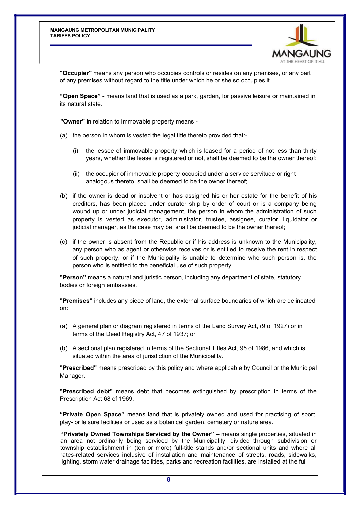

**"Occupier"** means any person who occupies controls or resides on any premises, or any part of any premises without regard to the title under which he or she so occupies it.

**"Open Space"** - means land that is used as a park, garden, for passive leisure or maintained in its natural state.

**"Owner"** in relation to immovable property means -

- (a) the person in whom is vested the legal title thereto provided that:-
	- (i) the lessee of immovable property which is leased for a period of not less than thirty years, whether the lease is registered or not, shall be deemed to be the owner thereof;
	- (ii) the occupier of immovable property occupied under a service servitude or right analogous thereto, shall be deemed to be the owner thereof;
- (b) if the owner is dead or insolvent or has assigned his or her estate for the benefit of his creditors, has been placed under curator ship by order of court or is a company being wound up or under judicial management, the person in whom the administration of such property is vested as executor, administrator, trustee, assignee, curator, liquidator or judicial manager, as the case may be, shall be deemed to be the owner thereof;
- (c) if the owner is absent from the Republic or if his address is unknown to the Municipality, any person who as agent or otherwise receives or is entitled to receive the rent in respect of such property, or if the Municipality is unable to determine who such person is, the person who is entitled to the beneficial use of such property.

**"Person"** means a natural and juristic person, including any department of state, statutory bodies or foreign embassies.

**"Premises"** includes any piece of land, the external surface boundaries of which are delineated on:

- (a) A general plan or diagram registered in terms of the Land Survey Act, (9 of 1927) or in terms of the Deed Registry Act, 47 of 1937; or
- (b) A sectional plan registered in terms of the Sectional Titles Act, 95 of 1986, and which is situated within the area of jurisdiction of the Municipality.

**"Prescribed"** means prescribed by this policy and where applicable by Council or the Municipal Manager.

**"Prescribed debt"** means debt that becomes extinguished by prescription in terms of the Prescription Act 68 of 1969.

**"Private Open Space"** means land that is privately owned and used for practising of sport, play- or leisure facilities or used as a botanical garden, cemetery or nature area.

**"Privately Owned Townships Serviced by the Owner"** – means single properties, situated in an area not ordinarily being serviced by the Municipality, divided through subdivision or township establishment in (ten or more) full-title stands and/or sectional units and where all rates-related services inclusive of installation and maintenance of streets, roads, sidewalks, lighting, storm water drainage facilities, parks and recreation facilities, are installed at the full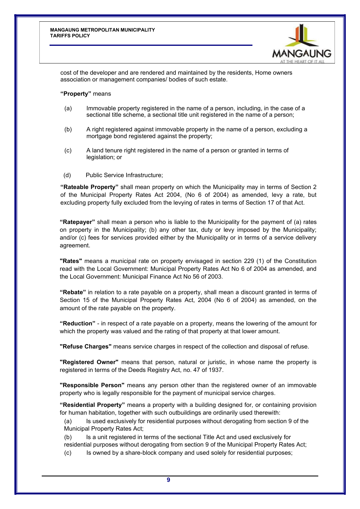

cost of the developer and are rendered and maintained by the residents, Home owners association or management companies/ bodies of such estate.

#### **"Property"** means

- (a) Immovable property registered in the name of a person, including, in the case of a sectional title scheme, a sectional title unit registered in the name of a person;
- (b) A right registered against immovable property in the name of a person, excluding a mortgage bond registered against the property;
- (c) A land tenure right registered in the name of a person or granted in terms of legislation; or
- (d) Public Service Infrastructure;

**"Rateable Property"** shall mean property on which the Municipality may in terms of Section 2 of the Municipal Property Rates Act 2004, (No 6 of 2004) as amended, levy a rate, but excluding property fully excluded from the levying of rates in terms of Section 17 of that Act.

**"Ratepayer"** shall mean a person who is liable to the Municipality for the payment of (a) rates on property in the Municipality; (b) any other tax, duty or levy imposed by the Municipality; and/or (c) fees for services provided either by the Municipality or in terms of a service delivery agreement.

**"Rates"** means a municipal rate on property envisaged in section 229 (1) of the Constitution read with the Local Government: Municipal Property Rates Act No 6 of 2004 as amended, and the Local Government: Municipal Finance Act No 56 of 2003.

**"Rebate"** in relation to a rate payable on a property, shall mean a discount granted in terms of Section 15 of the Municipal Property Rates Act, 2004 (No 6 of 2004) as amended, on the amount of the rate payable on the property.

**"Reduction"** - in respect of a rate payable on a property, means the lowering of the amount for which the property was valued and the rating of that property at that lower amount.

**"Refuse Charges"** means service charges in respect of the collection and disposal of refuse.

**"Registered Owner"** means that person, natural or juristic, in whose name the property is registered in terms of the Deeds Registry Act, no. 47 of 1937.

**"Responsible Person"** means any person other than the registered owner of an immovable property who is legally responsible for the payment of municipal service charges.

**"Residential Property"** means a property with a building designed for, or containing provision for human habitation, together with such outbuildings are ordinarily used therewith:

(a) Is used exclusively for residential purposes without derogating from section 9 of the Municipal Property Rates Act;

(b) Is a unit registered in terms of the sectional Title Act and used exclusively for

residential purposes without derogating from section 9 of the Municipal Property Rates Act;

(c) Is owned by a share-block company and used solely for residential purposes;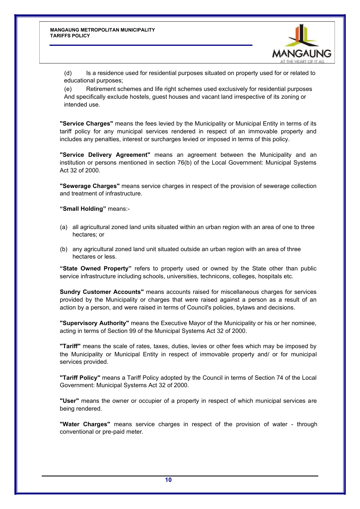

(d) Is a residence used for residential purposes situated on property used for or related to educational purposes;

(e) Retirement schemes and life right schemes used exclusively for residential purposes And specifically exclude hostels, guest houses and vacant land irrespective of its zoning or intended use.

**"Service Charges"** means the fees levied by the Municipality or Municipal Entity in terms of its tariff policy for any municipal services rendered in respect of an immovable property and includes any penalties, interest or surcharges levied or imposed in terms of this policy.

**"Service Delivery Agreement"** means an agreement between the Municipality and an institution or persons mentioned in section 76(b) of the Local Government: Municipal Systems Act 32 of 2000.

**"Sewerage Charges"** means service charges in respect of the provision of sewerage collection and treatment of infrastructure.

**"Small Holding"** means:-

- (a) all agricultural zoned land units situated within an urban region with an area of one to three hectares; or
- (b) any agricultural zoned land unit situated outside an urban region with an area of three hectares or less.

**"State Owned Property"** refers to property used or owned by the State other than public service infrastructure including schools, universities, technicons, colleges, hospitals etc.

**Sundry Customer Accounts"** means accounts raised for miscellaneous charges for services provided by the Municipality or charges that were raised against a person as a result of an action by a person, and were raised in terms of Council's policies, bylaws and decisions.

**"Supervisory Authority"** means the Executive Mayor of the Municipality or his or her nominee, acting in terms of Section 99 of the Municipal Systems Act 32 of 2000.

**"Tariff"** means the scale of rates, taxes, duties, levies or other fees which may be imposed by the Municipality or Municipal Entity in respect of immovable property and/ or for municipal services provided.

**"Tariff Policy"** means a Tariff Policy adopted by the Council in terms of Section 74 of the Local Government: Municipal Systems Act 32 of 2000.

**"User"** means the owner or occupier of a property in respect of which municipal services are being rendered.

**"Water Charges"** means service charges in respect of the provision of water - through conventional or pre-paid meter.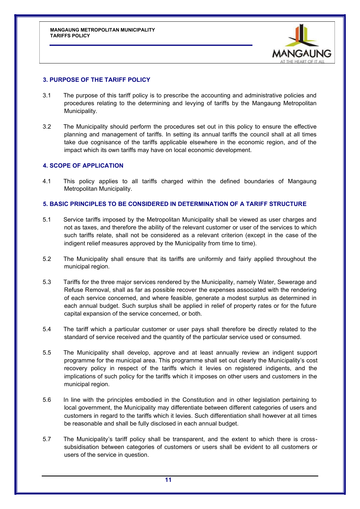

## <span id="page-11-0"></span>**3. PURPOSE OF THE TARIFF POLICY**

- 3.1 The purpose of this tariff policy is to prescribe the accounting and administrative policies and procedures relating to the determining and levying of tariffs by the Mangaung Metropolitan Municipality.
- 3.2 The Municipality should perform the procedures set out in this policy to ensure the effective planning and management of tariffs. In setting its annual tariffs the council shall at all times take due cognisance of the tariffs applicable elsewhere in the economic region, and of the impact which its own tariffs may have on local economic development.

## **4. SCOPE OF APPLICATION**

4.1 This policy applies to all tariffs charged within the defined boundaries of Mangaung Metropolitan Municipality.

#### **5. BASIC PRINCIPLES TO BE CONSIDERED IN DETERMINATION OF A TARIFF STRUCTURE**

- 5.1 Service tariffs imposed by the Metropolitan Municipality shall be viewed as user charges and not as taxes, and therefore the ability of the relevant customer or user of the services to which such tariffs relate, shall not be considered as a relevant criterion (except in the case of the indigent relief measures approved by the Municipality from time to time).
- 5.2 The Municipality shall ensure that its tariffs are uniformly and fairly applied throughout the municipal region.
- 5.3 Tariffs for the three major services rendered by the Municipality, namely Water, Sewerage and Refuse Removal, shall as far as possible recover the expenses associated with the rendering of each service concerned, and where feasible, generate a modest surplus as determined in each annual budget. Such surplus shall be applied in relief of property rates or for the future capital expansion of the service concerned, or both.
- 5.4 The tariff which a particular customer or user pays shall therefore be directly related to the standard of service received and the quantity of the particular service used or consumed.
- 5.5 The Municipality shall develop, approve and at least annually review an indigent support programme for the municipal area. This programme shall set out clearly the Municipality's cost recovery policy in respect of the tariffs which it levies on registered indigents, and the implications of such policy for the tariffs which it imposes on other users and customers in the municipal region.
- 5.6 In line with the principles embodied in the Constitution and in other legislation pertaining to local government, the Municipality may differentiate between different categories of users and customers in regard to the tariffs which it levies. Such differentiation shall however at all times be reasonable and shall be fully disclosed in each annual budget.
- 5.7 The Municipality's tariff policy shall be transparent, and the extent to which there is crosssubsidisation between categories of customers or users shall be evident to all customers or users of the service in question.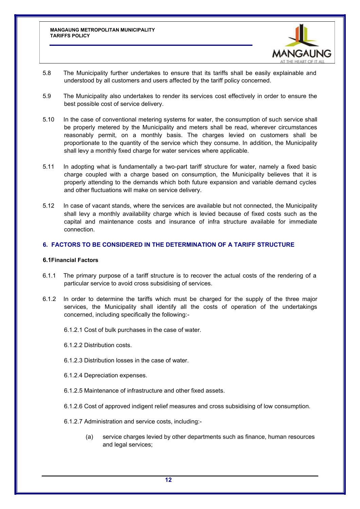

- <span id="page-12-0"></span>5.8 The Municipality further undertakes to ensure that its tariffs shall be easily explainable and understood by all customers and users affected by the tariff policy concerned.
- 5.9 The Municipality also undertakes to render its services cost effectively in order to ensure the best possible cost of service delivery.
- 5.10 In the case of conventional metering systems for water, the consumption of such service shall be properly metered by the Municipality and meters shall be read, wherever circumstances reasonably permit, on a monthly basis. The charges levied on customers shall be proportionate to the quantity of the service which they consume. In addition, the Municipality shall levy a monthly fixed charge for water services where applicable.
- 5.11 In adopting what is fundamentally a two-part tariff structure for water, namely a fixed basic charge coupled with a charge based on consumption, the Municipality believes that it is properly attending to the demands which both future expansion and variable demand cycles and other fluctuations will make on service delivery.
- 5.12 In case of vacant stands, where the services are available but not connected, the Municipality shall levy a monthly availability charge which is levied because of fixed costs such as the capital and maintenance costs and insurance of infra structure available for immediate connection.

## **6. FACTORS TO BE CONSIDERED IN THE DETERMINATION OF A TARIFF STRUCTURE**

#### **6.1Financial Factors**

- 6.1.1 The primary purpose of a tariff structure is to recover the actual costs of the rendering of a particular service to avoid cross subsidising of services.
- 6.1.2 In order to determine the tariffs which must be charged for the supply of the three major services, the Municipality shall identify all the costs of operation of the undertakings concerned, including specifically the following:-
	- 6.1.2.1 Cost of bulk purchases in the case of water.
	- 6.1.2.2 Distribution costs.
	- 6.1.2.3 Distribution losses in the case of water.
	- 6.1.2.4 Depreciation expenses.
	- 6.1.2.5 Maintenance of infrastructure and other fixed assets.
	- 6.1.2.6 Cost of approved indigent relief measures and cross subsidising of low consumption.
	- 6.1.2.7 Administration and service costs, including:-
		- (a) service charges levied by other departments such as finance, human resources and legal services;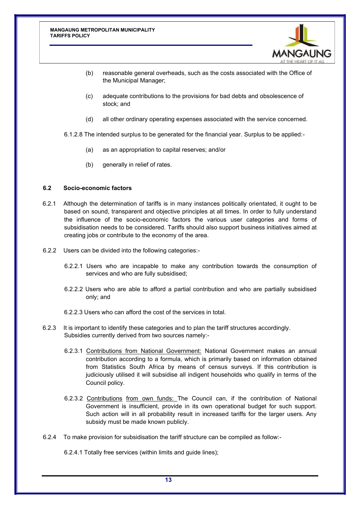

- (b) reasonable general overheads, such as the costs associated with the Office of the Municipal Manager;
- (c) adequate contributions to the provisions for bad debts and obsolescence of stock; and
- (d) all other ordinary operating expenses associated with the service concerned.

6.1.2.8 The intended surplus to be generated for the financial year. Surplus to be applied:-

- (a) as an appropriation to capital reserves; and/or
- (b) generally in relief of rates.

## **6.2 Socio-economic factors**

- 6.2.1 Although the determination of tariffs is in many instances politically orientated, it ought to be based on sound, transparent and objective principles at all times. In order to fully understand the influence of the socio-economic factors the various user categories and forms of subsidisation needs to be considered. Tariffs should also support business initiatives aimed at creating jobs or contribute to the economy of the area.
- 6.2.2 Users can be divided into the following categories:-
	- 6.2.2.1 Users who are incapable to make any contribution towards the consumption of services and who are fully subsidised;
	- 6.2.2.2 Users who are able to afford a partial contribution and who are partially subsidised only; and
	- 6.2.2.3 Users who can afford the cost of the services in total.
- 6.2.3 It is important to identify these categories and to plan the tariff structures accordingly. Subsidies currently derived from two sources namely:-
	- 6.2.3.1 Contributions from National Government: National Government makes an annual contribution according to a formula, which is primarily based on information obtained from Statistics South Africa by means of census surveys. If this contribution is judiciously utilised it will subsidise all indigent households who qualify in terms of the Council policy.
	- 6.2.3.2 Contributions from own funds: The Council can, if the contribution of National Government is insufficient, provide in its own operational budget for such support. Such action will in all probability result in increased tariffs for the larger users. Any subsidy must be made known publicly.
- 6.2.4 To make provision for subsidisation the tariff structure can be compiled as follow:-

6.2.4.1 Totally free services (within limits and guide lines);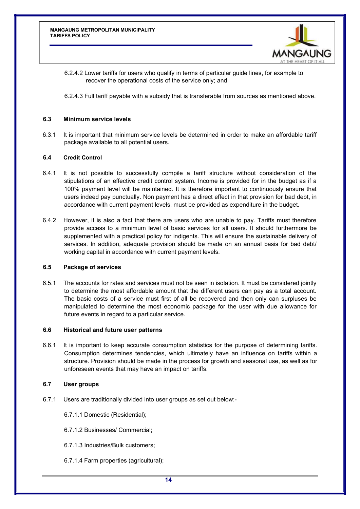

6.2.4.2 Lower tariffs for users who qualify in terms of particular guide lines, for example to recover the operational costs of the service only; and

6.2.4.3 Full tariff payable with a subsidy that is transferable from sources as mentioned above.

#### **6.3 Minimum service levels**

6.3.1 It is important that minimum service levels be determined in order to make an affordable tariff package available to all potential users.

#### **6.4 Credit Control**

- 6.4.1 It is not possible to successfully compile a tariff structure without consideration of the stipulations of an effective credit control system. Income is provided for in the budget as if a 100% payment level will be maintained. It is therefore important to continuously ensure that users indeed pay punctually. Non payment has a direct effect in that provision for bad debt, in accordance with current payment levels, must be provided as expenditure in the budget.
- 6.4.2 However, it is also a fact that there are users who are unable to pay. Tariffs must therefore provide access to a minimum level of basic services for all users. It should furthermore be supplemented with a practical policy for indigents. This will ensure the sustainable delivery of services. In addition, adequate provision should be made on an annual basis for bad debt/ working capital in accordance with current payment levels.

#### **6.5 Package of services**

6.5.1 The accounts for rates and services must not be seen in isolation. It must be considered jointly to determine the most affordable amount that the different users can pay as a total account. The basic costs of a service must first of all be recovered and then only can surpluses be manipulated to determine the most economic package for the user with due allowance for future events in regard to a particular service.

#### **6.6 Historical and future user patterns**

6.6.1 It is important to keep accurate consumption statistics for the purpose of determining tariffs. Consumption determines tendencies, which ultimately have an influence on tariffs within a structure. Provision should be made in the process for growth and seasonal use, as well as for unforeseen events that may have an impact on tariffs.

#### **6.7 User groups**

- 6.7.1 Users are traditionally divided into user groups as set out below:-
	- 6.7.1.1 Domestic (Residential);
	- 6.7.1.2 Businesses/ Commercial;
	- 6.7.1.3 Industries/Bulk customers;
	- 6.7.1.4 Farm properties (agricultural);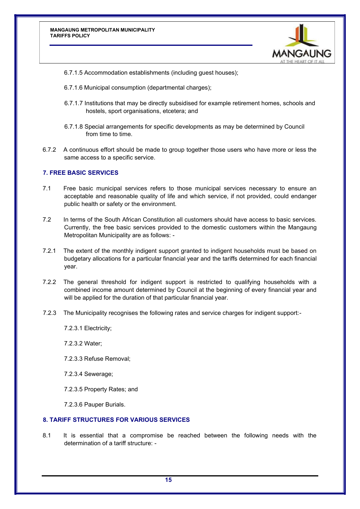

- <span id="page-15-0"></span>6.7.1.5 Accommodation establishments (including guest houses);
- 6.7.1.6 Municipal consumption (departmental charges);
- 6.7.1.7 Institutions that may be directly subsidised for example retirement homes, schools and hostels, sport organisations, etcetera; and
- 6.7.1.8 Special arrangements for specific developments as may be determined by Council from time to time.
- 6.7.2 A continuous effort should be made to group together those users who have more or less the same access to a specific service.

## **7. FREE BASIC SERVICES**

- 7.1 Free basic municipal services refers to those municipal services necessary to ensure an acceptable and reasonable quality of life and which service, if not provided, could endanger public health or safety or the environment.
- 7.2 In terms of the South African Constitution all customers should have access to basic services. Currently, the free basic services provided to the domestic customers within the Mangaung Metropolitan Municipality are as follows: -
- 7.2.1 The extent of the monthly indigent support granted to indigent households must be based on budgetary allocations for a particular financial year and the tariffs determined for each financial year.
- 7.2.2 The general threshold for indigent support is restricted to qualifying households with a combined income amount determined by Council at the beginning of every financial year and will be applied for the duration of that particular financial year.
- 7.2.3 The Municipality recognises the following rates and service charges for indigent support:-
	- 7.2.3.1 Electricity;
	- 7.2.3.2 Water;
	- 7.2.3.3 Refuse Removal;
	- 7.2.3.4 Sewerage;
	- 7.2.3.5 Property Rates; and
	- 7.2.3.6 Pauper Burials.

## **8. TARIFF STRUCTURES FOR VARIOUS SERVICES**

8.1 It is essential that a compromise be reached between the following needs with the determination of a tariff structure: -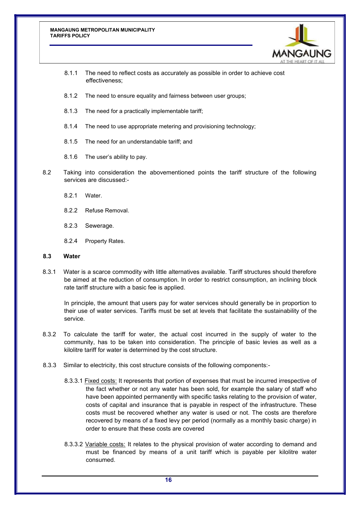

- 8.1.1 The need to reflect costs as accurately as possible in order to achieve cost effectiveness;
- 8.1.2 The need to ensure equality and fairness between user groups;
- 8.1.3 The need for a practically implementable tariff;
- 8.1.4 The need to use appropriate metering and provisioning technology;
- 8.1.5 The need for an understandable tariff; and
- 8.1.6 The user's ability to pay.
- 8.2 Taking into consideration the abovementioned points the tariff structure of the following services are discussed:-
	- 8.2.1 Water.
	- 8.2.2 Refuse Removal.
	- 8.2.3 Sewerage.
	- 8.2.4 Property Rates.

#### **8.3 Water**

8.3.1 Water is a scarce commodity with little alternatives available. Tariff structures should therefore be aimed at the reduction of consumption. In order to restrict consumption, an inclining block rate tariff structure with a basic fee is applied.

In principle, the amount that users pay for water services should generally be in proportion to their use of water services. Tariffs must be set at levels that facilitate the sustainability of the service.

- 8.3.2 To calculate the tariff for water, the actual cost incurred in the supply of water to the community, has to be taken into consideration. The principle of basic levies as well as a kilolitre tariff for water is determined by the cost structure.
- 8.3.3 Similar to electricity, this cost structure consists of the following components:-
	- 8.3.3.1 Fixed costs: It represents that portion of expenses that must be incurred irrespective of the fact whether or not any water has been sold, for example the salary of staff who have been appointed permanently with specific tasks relating to the provision of water, costs of capital and insurance that is payable in respect of the infrastructure. These costs must be recovered whether any water is used or not. The costs are therefore recovered by means of a fixed levy per period (normally as a monthly basic charge) in order to ensure that these costs are covered
	- 8.3.3.2 Variable costs: It relates to the physical provision of water according to demand and must be financed by means of a unit tariff which is payable per kilolitre water consumed.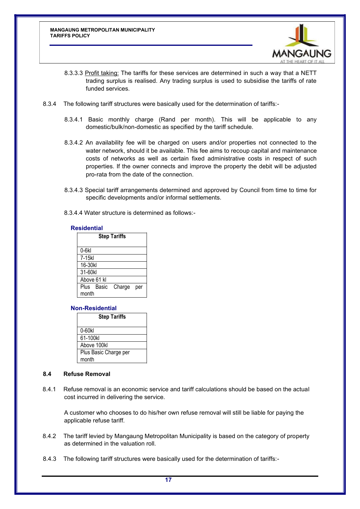

- 8.3.3.3 Profit taking: The tariffs for these services are determined in such a way that a NETT trading surplus is realised. Any trading surplus is used to subsidise the tariffs of rate funded services.
- 8.3.4 The following tariff structures were basically used for the determination of tariffs:-
	- 8.3.4.1 Basic monthly charge (Rand per month). This will be applicable to any domestic/bulk/non-domestic as specified by the tariff schedule.
	- 8.3.4.2 An availability fee will be charged on users and/or properties not connected to the water network, should it be available. This fee aims to recoup capital and maintenance costs of networks as well as certain fixed administrative costs in respect of such properties. If the owner connects and improve the property the debit will be adjusted pro-rata from the date of the connection.
	- 8.3.4.3 Special tariff arrangements determined and approved by Council from time to time for specific developments and/or informal settlements.
	- 8.3.4.4 Water structure is determined as follows:-

#### **Residential**

| <b>Step Tariffs</b> |             |        |     |
|---------------------|-------------|--------|-----|
| $0-6k$              |             |        |     |
| 7-15kl              |             |        |     |
| 16-30kl             |             |        |     |
| 31-60kl             |             |        |     |
|                     | Above 61 kl |        |     |
|                     | Plus Basic  | Charge | per |
| month               |             |        |     |

## **Non-Residential**

| <b>Step Tariffs</b>   |
|-----------------------|
| 0-60kl                |
| 61-100kl              |
| Above 100kl           |
| Plus Basic Charge per |
| month                 |

#### **8.4 Refuse Removal**

8.4.1 Refuse removal is an economic service and tariff calculations should be based on the actual cost incurred in delivering the service.

A customer who chooses to do his/her own refuse removal will still be liable for paying the applicable refuse tariff.

- 8.4.2 The tariff levied by Mangaung Metropolitan Municipality is based on the category of property as determined in the valuation roll.
- 8.4.3 The following tariff structures were basically used for the determination of tariffs:-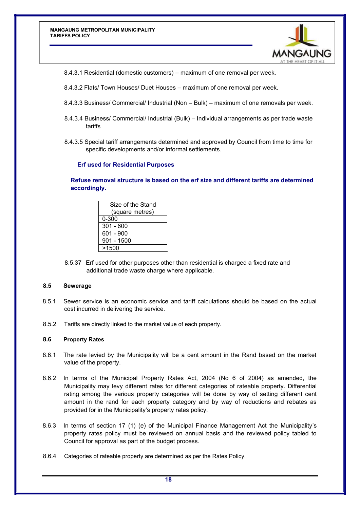

8.4.3.1 Residential (domestic customers) – maximum of one removal per week.

- 8.4.3.2 Flats/ Town Houses/ Duet Houses maximum of one removal per week.
- 8.4.3.3 Business/ Commercial/ Industrial (Non Bulk) maximum of one removals per week.
- 8.4.3.4 Business/ Commercial/ Industrial (Bulk) Individual arrangements as per trade waste tariffs
- 8.4.3.5 Special tariff arrangements determined and approved by Council from time to time for specific developments and/or informal settlements.

#### **Erf used for Residential Purposes**

**Refuse removal structure is based on the erf size and different tariffs are determined accordingly.**

| Size of the Stand |
|-------------------|
| (square metres)   |
| $0 - 300$         |
| $301 - 600$       |
| 601 - 900         |
| 901 - 1500        |
| >1500             |

8.5.37 Erf used for other purposes other than residential is charged a fixed rate and additional trade waste charge where applicable.

#### **8.5 Sewerage**

- 8.5.1 Sewer service is an economic service and tariff calculations should be based on the actual cost incurred in delivering the service.
- 8.5.2 Tariffs are directly linked to the market value of each property.

#### **8.6 Property Rates**

- 8.6.1 The rate levied by the Municipality will be a cent amount in the Rand based on the market value of the property.
- 8.6.2 In terms of the Municipal Property Rates Act, 2004 (No 6 of 2004) as amended, the Municipality may levy different rates for different categories of rateable property. Differential rating among the various property categories will be done by way of setting different cent amount in the rand for each property category and by way of reductions and rebates as provided for in the Municipality's property rates policy.
- 8.6.3 In terms of section 17 (1) (e) of the Municipal Finance Management Act the Municipality's property rates policy must be reviewed on annual basis and the reviewed policy tabled to Council for approval as part of the budget process.
- 8.6.4 Categories of rateable property are determined as per the Rates Policy.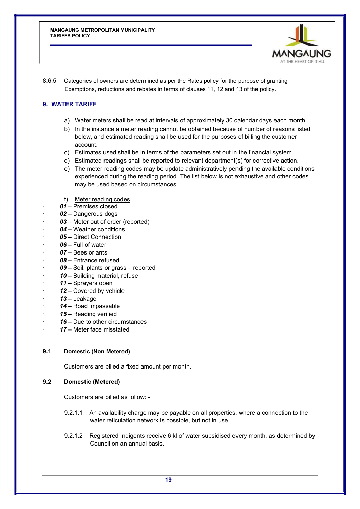

8.6.5 Categories of owners are determined as per the Rates policy for the purpose of granting Exemptions, reductions and rebates in terms of clauses 11, 12 and 13 of the policy.

## **9. WATER TARIFF**

- a) Water meters shall be read at intervals of approximately 30 calendar days each month.
- b) In the instance a meter reading cannot be obtained because of number of reasons listed below, and estimated reading shall be used for the purposes of billing the customer account.
- c) Estimates used shall be in terms of the parameters set out in the financial system
- d) Estimated readings shall be reported to relevant department(s) for corrective action.
- e) The meter reading codes may be update administratively pending the available conditions experienced during the reading period. The list below is not exhaustive and other codes may be used based on circumstances.
- f) Meter reading codes
- · *01 –* Premises closed
- · *02 –* Dangerous dogs
- 03 Meter out of order (reported)
- · *04 –* Weather conditions
- · *05 –* Direct Connection
- · *06 –* Full of water
- · *07 –* Bees or ants
- · *08 –* Entrance refused
- 09 Soil, plants or grass reported
- · *10 –* Building material, refuse
- · *11 –* Sprayers open
- · *12 –* Covered by vehicle
- · *13 –* Leakage
- · *14 –* Road impassable
- 15 Reading verified
- · *16 –* Due to other circumstances
- · *17 –* Meter face misstated

## **9.1 Domestic (Non Metered)**

Customers are billed a fixed amount per month.

## **9.2 Domestic (Metered)**

Customers are billed as follow: -

- 9.2.1.1 An availability charge may be payable on all properties, where a connection to the water reticulation network is possible, but not in use.
- 9.2.1.2 Registered Indigents receive 6 kl of water subsidised every month, as determined by Council on an annual basis.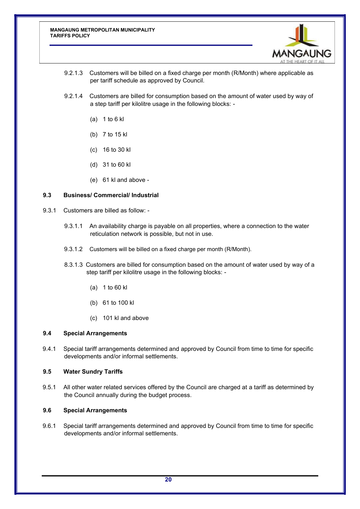

- 9.2.1.3 Customers will be billed on a fixed charge per month (R/Month) where applicable as per tariff schedule as approved by Council.
- 9.2.1.4 Customers are billed for consumption based on the amount of water used by way of a step tariff per kilolitre usage in the following blocks: -
	- (a) 1 to 6 kl
	- (b) 7 to 15 kl
	- (c) 16 to 30 kl
	- (d) 31 to 60 kl
	- (e) 61 kl and above -

#### **9.3 Business/ Commercial/ Industrial**

- 9.3.1 Customers are billed as follow:
	- 9.3.1.1 An availability charge is payable on all properties, where a connection to the water reticulation network is possible, but not in use.
	- 9.3.1.2 Customers will be billed on a fixed charge per month (R/Month).
	- 8.3.1.3 Customers are billed for consumption based on the amount of water used by way of a step tariff per kilolitre usage in the following blocks: -
		- (a) 1 to 60 kl
		- (b) 61 to 100 kl
		- (c) 101 kl and above

## **9.4 Special Arrangements**

9.4.1 Special tariff arrangements determined and approved by Council from time to time for specific developments and/or informal settlements.

#### **9.5 Water Sundry Tariffs**

9.5.1 All other water related services offered by the Council are charged at a tariff as determined by the Council annually during the budget process.

## **9.6 Special Arrangements**

9.6.1 Special tariff arrangements determined and approved by Council from time to time for specific developments and/or informal settlements.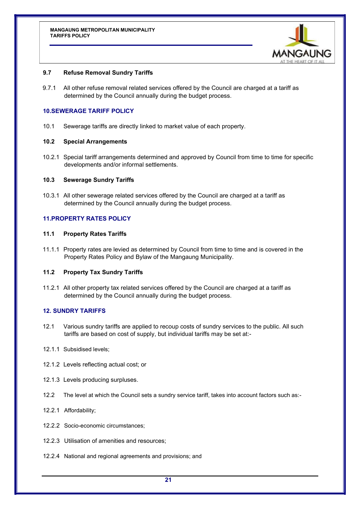

## **9.7 Refuse Removal Sundry Tariffs**

9.7.1 All other refuse removal related services offered by the Council are charged at a tariff as determined by the Council annually during the budget process.

## **10.SEWERAGE TARIFF POLICY**

10.1 Sewerage tariffs are directly linked to market value of each property.

#### **10.2 Special Arrangements**

10.2.1 Special tariff arrangements determined and approved by Council from time to time for specific developments and/or informal settlements.

#### **10.3 Sewerage Sundry Tariffs**

10.3.1 All other sewerage related services offered by the Council are charged at a tariff as determined by the Council annually during the budget process.

## **11.PROPERTY RATES POLICY**

#### **11.1 Property Rates Tariffs**

11.1.1 Property rates are levied as determined by Council from time to time and is covered in the Property Rates Policy and Bylaw of the Mangaung Municipality.

#### **11.2 Property Tax Sundry Tariffs**

11.2.1 All other property tax related services offered by the Council are charged at a tariff as determined by the Council annually during the budget process.

#### **12. SUNDRY TARIFFS**

12.1 Various sundry tariffs are applied to recoup costs of sundry services to the public. All such tariffs are based on cost of supply, but individual tariffs may be set at:-

#### 12.1.1 Subsidised levels;

- 12.1.2 Levels reflecting actual cost; or
- 12.1.3 Levels producing surpluses.
- 12.2 The level at which the Council sets a sundry service tariff, takes into account factors such as:-
- 12.2.1 Affordability;
- 12.2.2 Socio-economic circumstances;
- 12.2.3 Utilisation of amenities and resources;
- 12.2.4 National and regional agreements and provisions; and